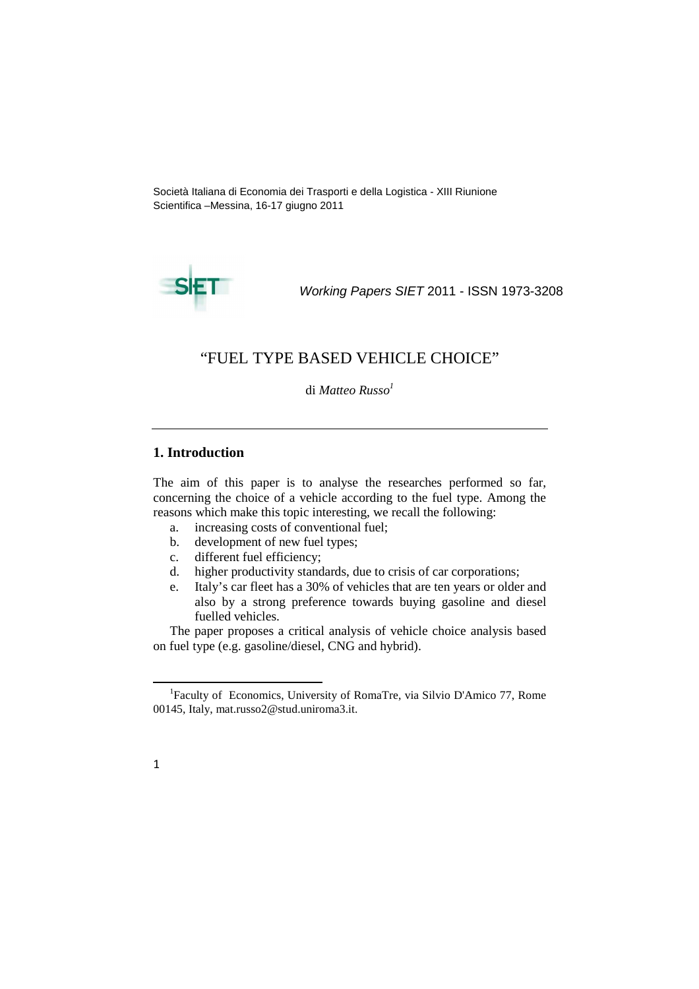Società Italiana di Economia dei Trasporti e della Logistica - XIII Riunione Scientifica –Messina, 16-17 giugno 2011



Working Papers SIET 2011 - ISSN 1973-3208

# "FUEL TYPE BASED VEHICLE CHOICE"

di *Matteo Russo<sup>1</sup>*

# **1. Introduction**

The aim of this paper is to analyse the researches performed so far, concerning the choice of a vehicle according to the fuel type. Among the reasons which make this topic interesting, we recall the following:

- a. increasing costs of conventional fuel;
- b. development of new fuel types;
- c. different fuel efficiency;
- d. higher productivity standards, due to crisis of car corporations;
- e. Italy's car fleet has a 30% of vehicles that are ten years or older and also by a strong preference towards buying gasoline and diesel fuelled vehicles.

The paper proposes a critical analysis of vehicle choice analysis based on fuel type (e.g. gasoline/diesel, CNG and hybrid).

<sup>&</sup>lt;sup>1</sup>Faculty of Economics, University of RomaTre, via Silvio D'Amico 77, Rome 00145, Italy, mat.russo2@stud.uniroma3.it.



l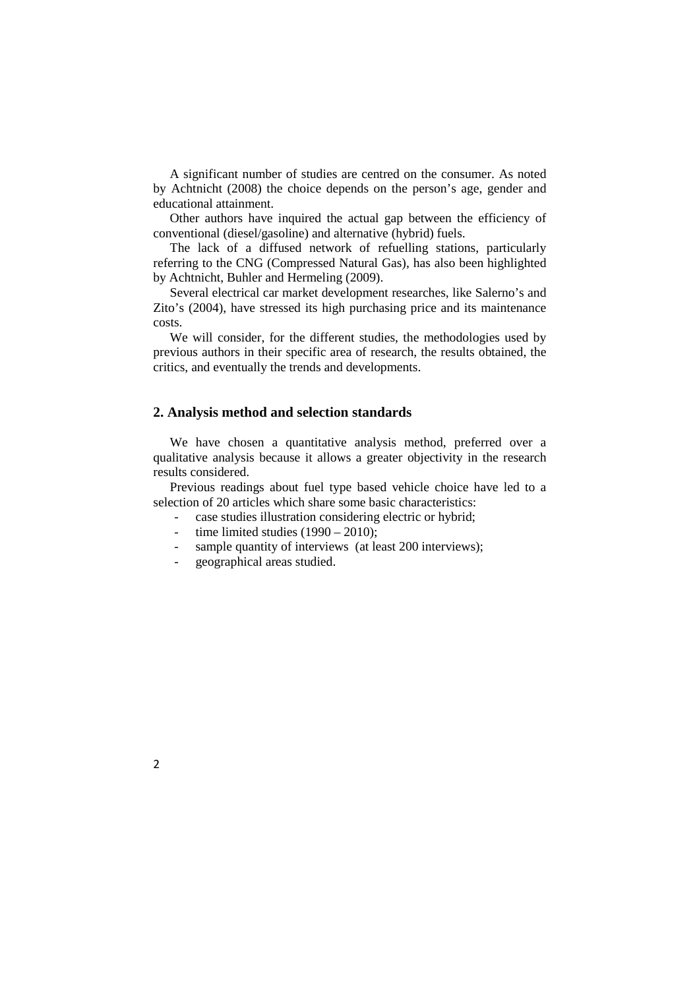A significant number of studies are centred on the consumer. As noted by Achtnicht (2008) the choice depends on the person's age, gender and educational attainment.

Other authors have inquired the actual gap between the efficiency of conventional (diesel/gasoline) and alternative (hybrid) fuels.

The lack of a diffused network of refuelling stations, particularly referring to the CNG (Compressed Natural Gas), has also been highlighted by Achtnicht, Buhler and Hermeling (2009).

Several electrical car market development researches, like Salerno's and Zito's (2004), have stressed its high purchasing price and its maintenance costs.

We will consider, for the different studies, the methodologies used by previous authors in their specific area of research, the results obtained, the critics, and eventually the trends and developments.

#### **2. Analysis method and selection standards**

We have chosen a quantitative analysis method, preferred over a qualitative analysis because it allows a greater objectivity in the research results considered.

Previous readings about fuel type based vehicle choice have led to a selection of 20 articles which share some basic characteristics:

- case studies illustration considering electric or hybrid;
- time limited studies  $(1990 2010)$ ;
- sample quantity of interviews (at least 200 interviews);
- geographical areas studied.

2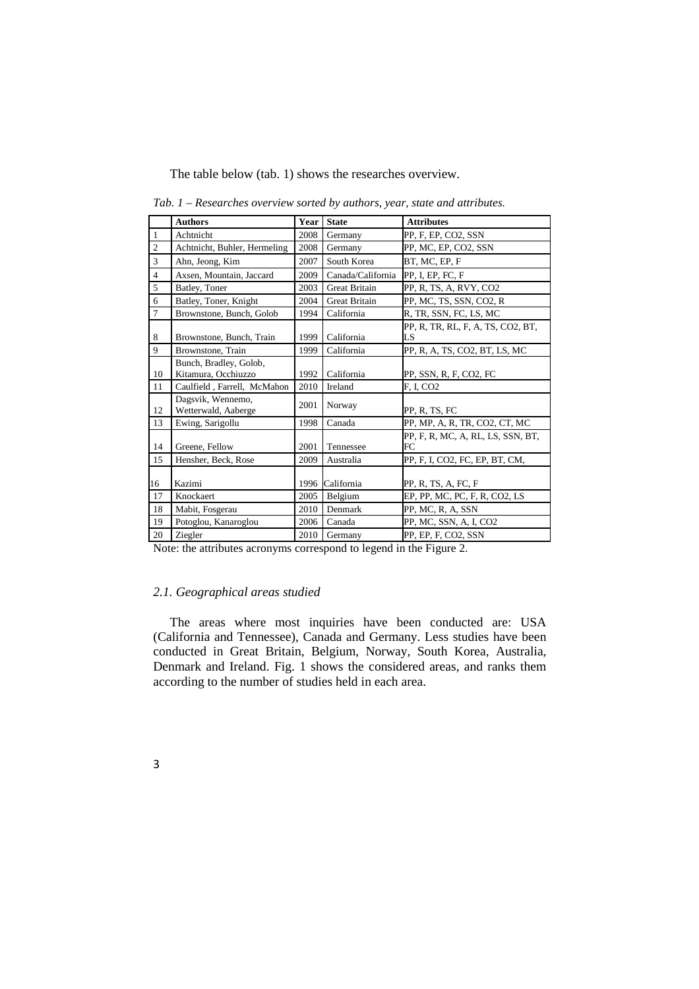The table below (tab. 1) shows the researches overview.

|                | <b>Authors</b>                           | Year | <b>State</b>         | <b>Attributes</b>                       |
|----------------|------------------------------------------|------|----------------------|-----------------------------------------|
| 1              | Achtnicht                                | 2008 | Germany              | PP, F, EP, CO2, SSN                     |
| $\overline{2}$ | Achtnicht, Buhler, Hermeling             | 2008 | Germany              | PP, MC, EP, CO2, SSN                    |
| $\overline{3}$ | Ahn, Jeong, Kim                          | 2007 | South Korea          | BT, MC, EP, F                           |
| $\overline{4}$ | Axsen, Mountain, Jaccard                 | 2009 | Canada/California    | PP, I, EP, FC, F                        |
| 5              | Batley, Toner                            | 2003 | <b>Great Britain</b> | PP, R, TS, A, RVY, CO2                  |
| 6              | Batley, Toner, Knight                    | 2004 | <b>Great Britain</b> | PP, MC, TS, SSN, CO2, R                 |
| $\overline{7}$ | Brownstone, Bunch, Golob                 | 1994 | California           | R, TR, SSN, FC, LS, MC                  |
|                |                                          |      |                      | PP, R, TR, RL, F, A, TS, CO2, BT,       |
| 8              | Brownstone, Bunch, Train                 | 1999 | California           | LS                                      |
| 9              | Brownstone, Train                        | 1999 | California           | PP, R, A, TS, CO2, BT, LS, MC           |
|                | Bunch, Bradley, Golob,                   |      |                      |                                         |
| 10             | Kitamura, Occhiuzzo                      | 1992 | California           | PP, SSN, R, F, CO2, FC                  |
| 11             | Caulfield, Farrell, McMahon              | 2010 | Ireland              | F, I, CO <sub>2</sub>                   |
| 12             | Dagsvik, Wennemo,<br>Wetterwald, Aaberge | 2001 | Norway               | PP, R, TS, FC                           |
| 13             | Ewing, Sarigollu                         | 1998 | Canada               | PP, MP, A, R, TR, CO2, CT, MC           |
| 14             | Greene, Fellow                           | 2001 | Tennessee            | PP, F, R, MC, A, RL, LS, SSN, BT,<br>FC |
| 15             | Hensher, Beck, Rose                      | 2009 | Australia            | PP, F, I, CO2, FC, EP, BT, CM,          |
| 16             | Kazimi                                   | 1996 | California           | PP, R, TS, A, FC, F                     |
| 17             | Knockaert                                | 2005 | Belgium              | EP, PP, MC, PC, F, R, CO2, LS           |
| 18             | Mabit, Fosgerau                          | 2010 | Denmark              | PP, MC, R, A, SSN                       |
| 19             | Potoglou, Kanaroglou                     | 2006 | Canada               | PP, MC, SSN, A, I, CO2                  |
| 20             | Ziegler                                  | 2010 | Germany              | PP, EP, F, CO2, SSN                     |

*Tab. 1 – Researches overview sorted by authors, year, state and attributes.* 

Note: the attributes acronyms correspond to legend in the Figure 2.

#### *2.1. Geographical areas studied*

The areas where most inquiries have been conducted are: USA (California and Tennessee), Canada and Germany. Less studies have been conducted in Great Britain, Belgium, Norway, South Korea, Australia, Denmark and Ireland. Fig. 1 shows the considered areas, and ranks them according to the number of studies held in each area.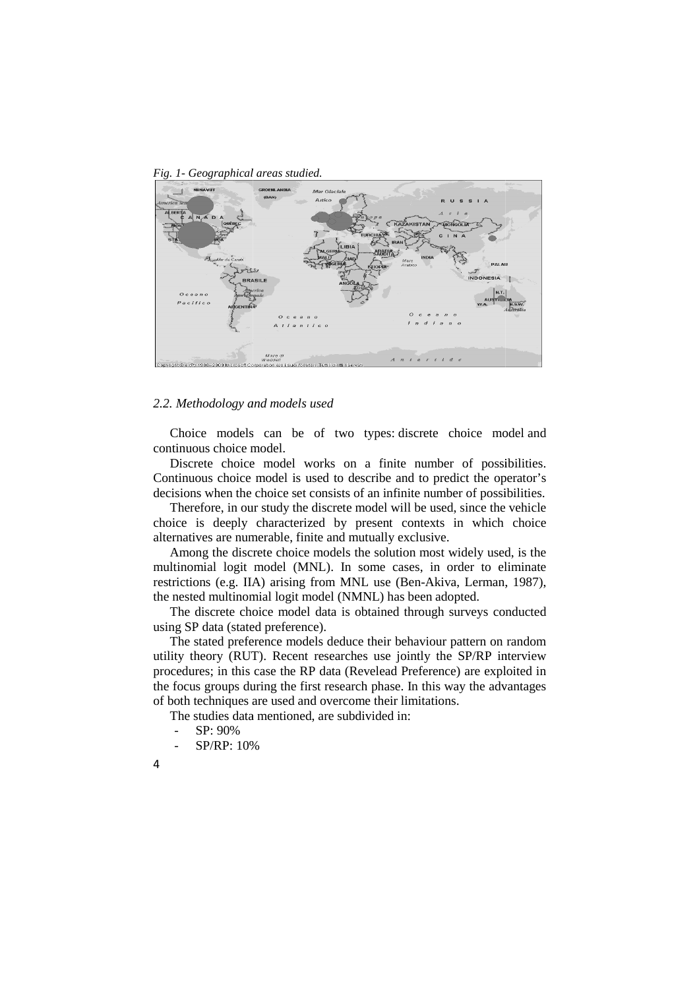Fig. 1- Geographical areas studied.



#### 2.2. Methodology and models used

Choice models can be of two types: discrete choice model and continuous choice model model.

Discrete choice model works on a finite number of possibilities. Continuous choice model is used to describe and to predict the operator's decisions when the choice set consists of an infinite number of possibilities.

Therefore, in our study the discrete model will be used, since the vehicle choice is deeply characterized by present contexts in which choice alternatives are numerable, finite and mutually exclusive.

Among the discrete choice models the solution most widely used, is the multinomial logit model (MNL). In some cases, in order to eliminate restrictions (e.g. IIA) arising from MNL use (Ben-Akiva, Lerman, 1987), the nested multinomial logit model (NMNL) has been adopted. ment is so an infinite number of possibilities.<br>screte model will be used, since the vehicle<br>1 by present contexts in which choice<br>and mutually exclusive.<br>ion Akiva, is the<br>5.<br>2. In some cases, in order to eliminate<br>5. In

The discrete choice model d data is obtained through surveys conducted using SP data (stated preference).

The stated preference models deduce their behaviour pattern on random utility theory (RUT). Recent researches use jointly the SP/RP interview procedures; in this case the RP data (Revelead Preference) are exploited in the focus groups during the first research phase. In this way the advantages of both techniques are used and overcome their limitations.

The studies data mentioned, are subdivided in:

- SP: 90%
- SP/RP: 10%
- 4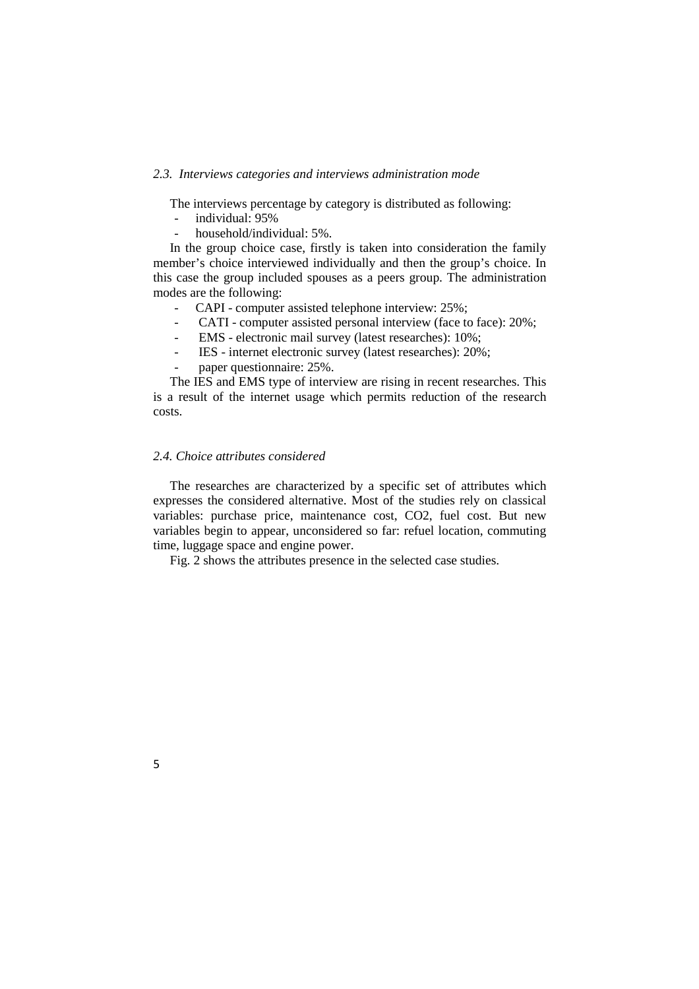#### *2.3. Interviews categories and interviews administration mode*

The interviews percentage by category is distributed as following:

- individual: 95%
- household/individual: 5%.

In the group choice case, firstly is taken into consideration the family member's choice interviewed individually and then the group's choice. In this case the group included spouses as a peers group. The administration modes are the following:

- CAPI computer assisted telephone interview: 25%;
- CATI computer assisted personal interview (face to face): 20%;
- EMS electronic mail survey (latest researches): 10%;
- IES internet electronic survey (latest researches): 20%;
- paper questionnaire: 25%.

The IES and EMS type of interview are rising in recent researches. This is a result of the internet usage which permits reduction of the research costs.

# *2.4. Choice attributes considered*

The researches are characterized by a specific set of attributes which expresses the considered alternative. Most of the studies rely on classical variables: purchase price, maintenance cost, CO2, fuel cost. But new variables begin to appear, unconsidered so far: refuel location, commuting time, luggage space and engine power.

Fig. 2 shows the attributes presence in the selected case studies.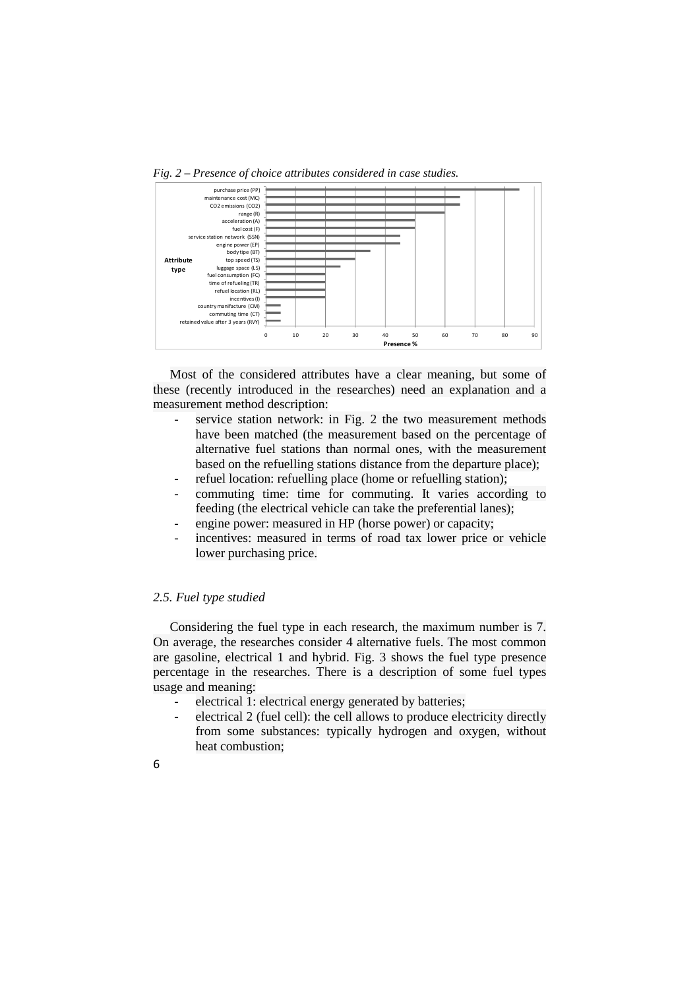



Most of the considered attributes have a clear meaning, but some of these (recently introduced in the researches) need an explanation and a measurement method description:

- service station network: in Fig. 2 the two measurement methods have been matched (the measurement based on the percentage of alternative fuel stations than normal ones, with the measurement based on the refuelling stations distance from the departure place);
- refuel location: refuelling place (home or refuelling station);
- commuting time: time for commuting. It varies according to feeding (the electrical vehicle can take the preferential lanes);
- engine power: measured in HP (horse power) or capacity;
- incentives: measured in terms of road tax lower price or vehicle lower purchasing price.

#### *2.5. Fuel type studied*

Considering the fuel type in each research, the maximum number is 7. On average, the researches consider 4 alternative fuels. The most common are gasoline, electrical 1 and hybrid. Fig. 3 shows the fuel type presence percentage in the researches. There is a description of some fuel types usage and meaning:

- electrical 1: electrical energy generated by batteries;
- electrical 2 (fuel cell): the cell allows to produce electricity directly from some substances: typically hydrogen and oxygen, without heat combustion;
- 6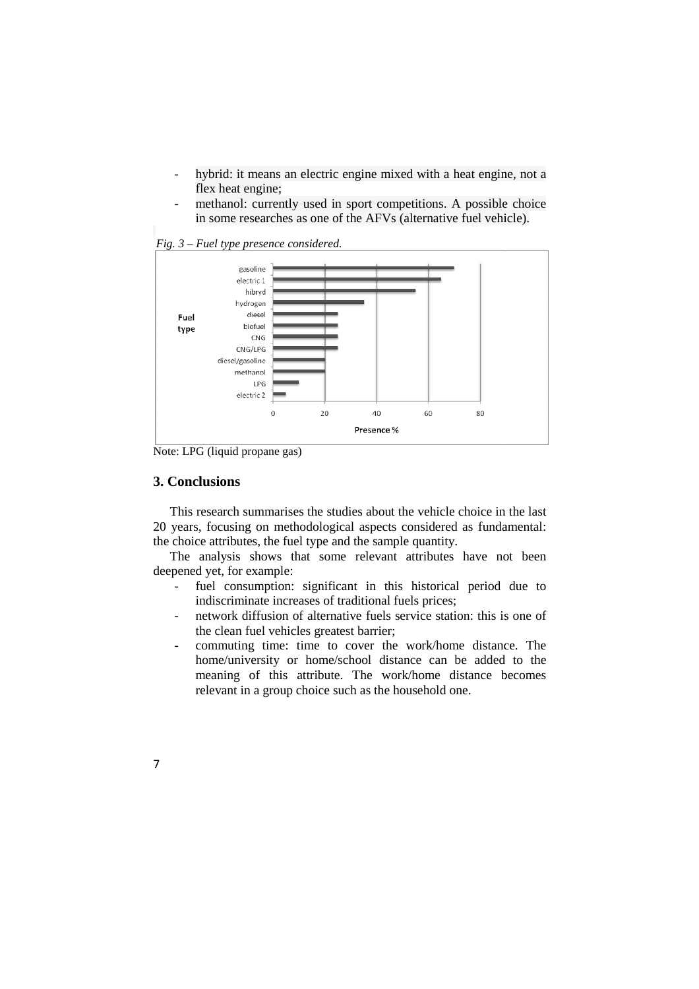- hybrid: it means an electric engine mixed with a heat engine, not a flex heat engine;
- methanol: currently used in sport competitions. A possible choice in some researches as one of the AFVs (alternative fuel vehicle).



*Fig. 3 – Fuel type presence considered.* 

Note: LPG (liquid propane gas)

## **3. Conclusions**

This research summarises the studies about the vehicle choice in the last 20 years, focusing on methodological aspects considered as fundamental: the choice attributes, the fuel type and the sample quantity.

The analysis shows that some relevant attributes have not been deepened yet, for example:

- fuel consumption: significant in this historical period due to indiscriminate increases of traditional fuels prices;
- network diffusion of alternative fuels service station: this is one of the clean fuel vehicles greatest barrier;
- commuting time: time to cover the work/home distance. The home/university or home/school distance can be added to the meaning of this attribute. The work/home distance becomes relevant in a group choice such as the household one.

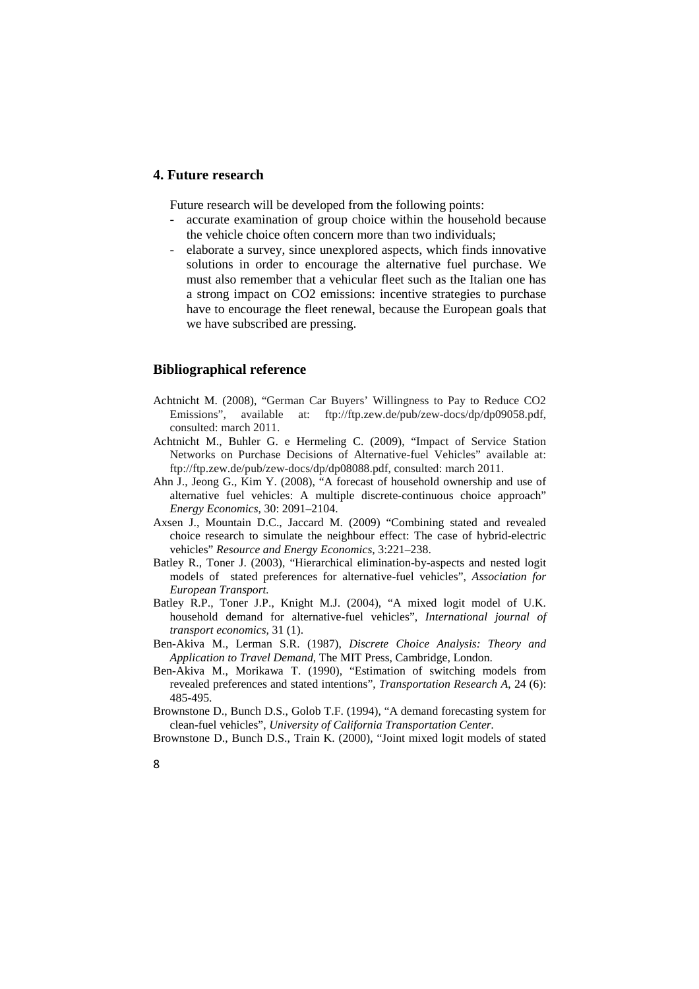# **4. Future research**

Future research will be developed from the following points:

- accurate examination of group choice within the household because the vehicle choice often concern more than two individuals;
- elaborate a survey, since unexplored aspects, which finds innovative solutions in order to encourage the alternative fuel purchase. We must also remember that a vehicular fleet such as the Italian one has a strong impact on CO2 emissions: incentive strategies to purchase have to encourage the fleet renewal, because the European goals that we have subscribed are pressing.

# **Bibliographical reference**

- Achtnicht M. (2008), "German Car Buyers' Willingness to Pay to Reduce CO2 Emissions", available at: ftp://ftp.zew.de/pub/zew-docs/dp/dp09058.pdf, consulted: march 2011.
- Achtnicht M., Buhler G. e Hermeling C. (2009), "Impact of Service Station Networks on Purchase Decisions of Alternative-fuel Vehicles" available at: ftp://ftp.zew.de/pub/zew-docs/dp/dp08088.pdf, consulted: march 2011.
- Ahn J., Jeong G., Kim Y. (2008), "A forecast of household ownership and use of alternative fuel vehicles: A multiple discrete-continuous choice approach" *Energy Economics,* 30: 2091–2104.
- Axsen J., Mountain D.C., Jaccard M. (2009) "Combining stated and revealed choice research to simulate the neighbour effect: The case of hybrid-electric vehicles" *Resource and Energy Economics,* 3:221–238.
- Batley R., Toner J. (2003), "Hierarchical elimination-by-aspects and nested logit models of stated preferences for alternative-fuel vehicles", *Association for European Transport.*
- Batley R.P., Toner J.P., Knight M.J. (2004), "A mixed logit model of U.K. household demand for alternative-fuel vehicles", *International journal of transport economics,* 31 (1).
- Ben-Akiva M., Lerman S.R. (1987), *Discrete Choice Analysis: Theory and Application to Travel Demand*, The MIT Press, Cambridge, London.
- Ben-Akiva M., Morikawa T. (1990), "Estimation of switching models from revealed preferences and stated intentions", *Transportation Research A*, 24 (6): 485-495.
- Brownstone D., Bunch D.S., Golob T.F. (1994), "A demand forecasting system for clean-fuel vehicles", *University of California Transportation Center.*
- Brownstone D., Bunch D.S., Train K. (2000), "Joint mixed logit models of stated
- 8